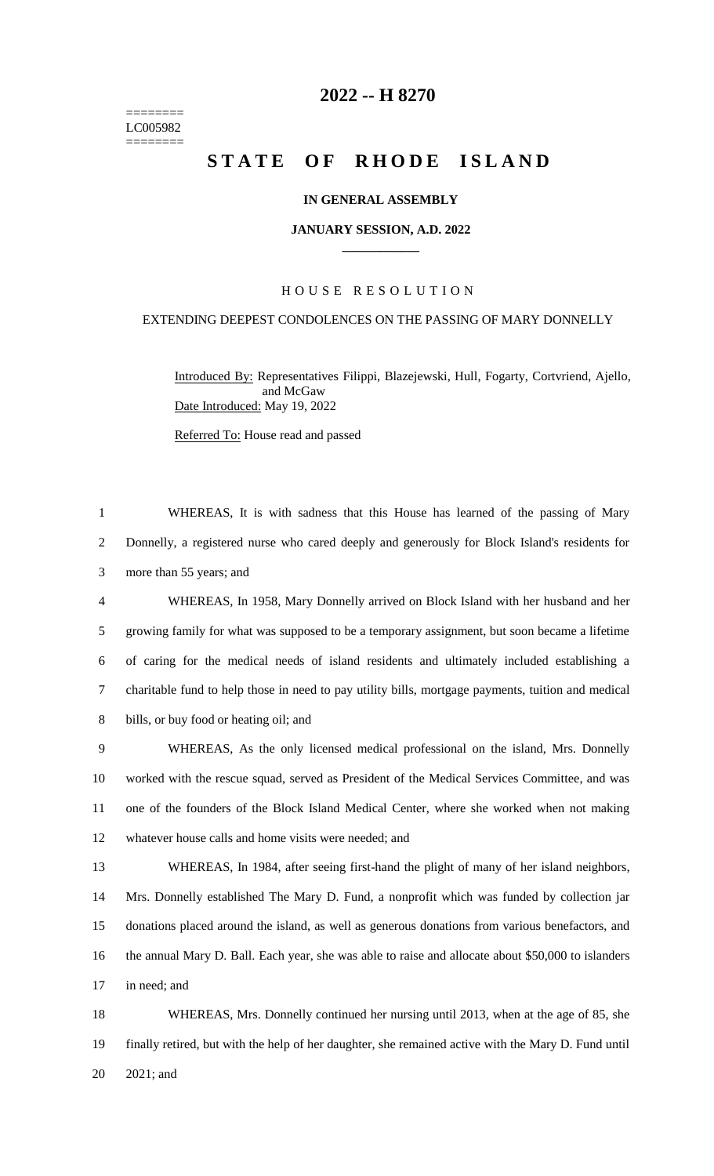======== LC005982 ========

## **-- H 8270**

# **STATE OF RHODE ISLAND**

### **IN GENERAL ASSEMBLY**

#### **JANUARY SESSION, A.D. 2022 \_\_\_\_\_\_\_\_\_\_\_\_**

## H O U S E R E S O L U T I O N

## EXTENDING DEEPEST CONDOLENCES ON THE PASSING OF MARY DONNELLY

Introduced By: Representatives Filippi, Blazejewski, Hull, Fogarty, Cortvriend, Ajello, and McGaw Date Introduced: May 19, 2022

Referred To: House read and passed

 WHEREAS, It is with sadness that this House has learned of the passing of Mary Donnelly, a registered nurse who cared deeply and generously for Block Island's residents for more than 55 years; and WHEREAS, In 1958, Mary Donnelly arrived on Block Island with her husband and her growing family for what was supposed to be a temporary assignment, but soon became a lifetime of caring for the medical needs of island residents and ultimately included establishing a charitable fund to help those in need to pay utility bills, mortgage payments, tuition and medical bills, or buy food or heating oil; and WHEREAS, As the only licensed medical professional on the island, Mrs. Donnelly

 worked with the rescue squad, served as President of the Medical Services Committee, and was one of the founders of the Block Island Medical Center, where she worked when not making whatever house calls and home visits were needed; and

 WHEREAS, In 1984, after seeing first-hand the plight of many of her island neighbors, Mrs. Donnelly established The Mary D. Fund, a nonprofit which was funded by collection jar donations placed around the island, as well as generous donations from various benefactors, and the annual Mary D. Ball. Each year, she was able to raise and allocate about \$50,000 to islanders in need; and

 WHEREAS, Mrs. Donnelly continued her nursing until 2013, when at the age of 85, she finally retired, but with the help of her daughter, she remained active with the Mary D. Fund until 2021; and